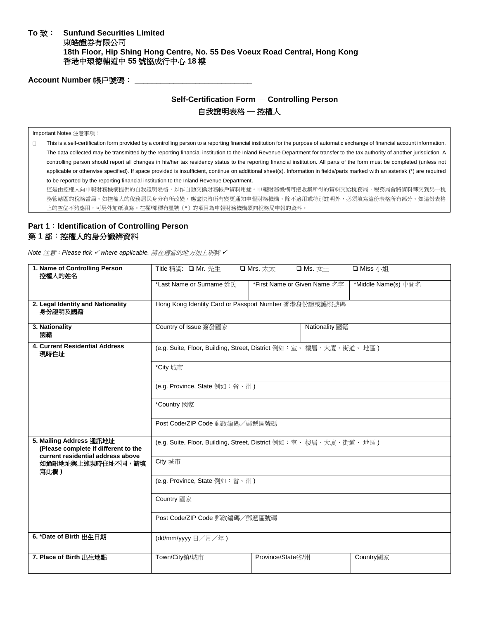#### **To** 致: **Sunfund Securities Limited**  東皓證券有限公司 **18th Floor, Hip Shing Hong Centre, No. 55 Des Voeux Road Central, Hong Kong** 香港中環德輔道中 **55** 號協成行中心 **18** 樓

Account Number 帳戶號碼: \_\_\_\_\_

## **Self-Certification Form** — **Controlling Person** 自我證明表格 ─ 控權人

Important Notes 注意事項:

 $\Box$ This is a self-certification form provided by a controlling person to a reporting financial institution for the purpose of automatic exchange of financial account information. The data collected may be transmitted by the reporting financial institution to the Inland Revenue Department for transfer to the tax authority of another jurisdiction. A controlling person should report all changes in his/her tax residency status to the reporting financial institution. All parts of the form must be completed (unless not applicable or otherwise specified). If space provided is insufficient, continue on additional sheet(s). Information in fields/parts marked with an asterisk (\*) are required to be reported by the reporting financial institution to the Inland Revenue Department.

這是由控權人向申報財務機構提供的自我證明表格,以作自動交換財務帳戶資料用途。申報財務機構可把收集所得的資料交給稅務局,稅務局會將資料轉交到另一稅 務管轄區的稅務當局。如控權人的稅務居民身分有所改變,應盡快將所有變更通知申報財務機構。除不適用或特別註明外,必須填寫這份表格所有部分。如這份表格 上的空位不夠應用,可另外加紙填寫。在欄/部標有星號(\*)的項目為申報財務機構須向稅務局申報的資料。

# **Part 1**:**Identification of Controlling Person** 第 **1** 部:控權人的身分識辨資料

*Note* 注意:*Please tick* ✓ *where applicable.* 請在適當的地方加上剔號 ✓

| 1. Name of Controlling Person<br>控權人的姓名                                                              | Title 稱謂: □ Mr. 先生                                                          | $\square$ Mrs. $\star\star\star$<br>□ Ms. 女士 | □ Miss 小姐           |  |
|------------------------------------------------------------------------------------------------------|-----------------------------------------------------------------------------|----------------------------------------------|---------------------|--|
|                                                                                                      | *Last Name or Surname 姓氏                                                    | *First Name or Given Name 名字                 | *Middle Name(s) 中間名 |  |
| 2. Legal Identity and Nationality<br>身份證明及國籍                                                         | Hong Kong Identity Card or Passport Number 香港身份證或護照號碼                       |                                              |                     |  |
| 3. Nationality<br>國籍                                                                                 | Country of Issue 簽發國家<br><b>Nationality</b> 國籍                              |                                              |                     |  |
| 4. Current Residential Address<br>現時住址                                                               | (e.g. Suite, Floor, Building, Street, District 例如:室、樓層、大廈、街道、地區)            |                                              |                     |  |
|                                                                                                      | *City 城市                                                                    |                                              |                     |  |
|                                                                                                      | (e.g. Province, State 例如:省、州)                                               |                                              |                     |  |
|                                                                                                      | *Country 國家                                                                 |                                              |                     |  |
|                                                                                                      | Post Code/ZIP Code 郵政編碼/郵遞區號碼                                               |                                              |                     |  |
| 5. Mailing Address 通訊地址<br>(Please complete if different to the<br>current residential address above | (e.g. Suite, Floor, Building, Street, District 例如:室、樓層、大廈、街道、地區)<br>City 城市 |                                              |                     |  |
| 如通訊地址與上述現時住址不同,請填<br>寫此欄)                                                                            |                                                                             |                                              |                     |  |
|                                                                                                      | (e.g. Province, State 例如:省、州)                                               |                                              |                     |  |
|                                                                                                      | Country 國家<br>Post Code/ZIP Code 郵政編碼/郵遞區號碼                                 |                                              |                     |  |
|                                                                                                      |                                                                             |                                              |                     |  |
| 6. *Date of Birth 出生日期                                                                               | (dd/mm/yyyy 日/月/年)                                                          |                                              |                     |  |
| 7. Place of Birth 出生地點                                                                               | Town/City鎮/城市                                                               | Province/State省/州                            | Country國家           |  |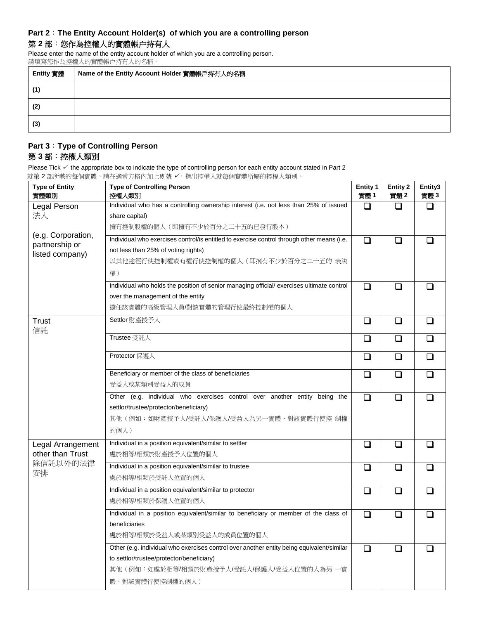#### **Part 2**:**The Entity Account Holder(s) of which you are a controlling person**

## 第 **2** 部:您作為控權人的實體帳户持有人

Please enter the name of the entity account holder of which you are a controlling person. 請填寫您作為控權人的實體帳户持有人的名稱。

| Entity 實體 | Name of the Entity Account Holder 實體帳戶持有人的名稱 |
|-----------|----------------------------------------------|
| (1)       |                                              |
| (2)       |                                              |
| (3)       |                                              |

# **Part 3**:**Type of Controlling Person** 第 **3** 部:控權人類別

Please Tick  $✓$  the appropriate box to indicate the type of controlling person for each entity account stated in Part 2 就第 2 部所載的每個實體,請在適當方格內加上剔號 ✓,指出控權人就每個實體所屬的控權人類別。

| <b>Type of Entity</b><br>實體類別        | $1 - 1 - 1 - 1 - 1 - 1 = 0$<br><b>Type of Controlling Person</b><br>控權人類別                               | <b>Entity 1</b><br>實體1 | <b>Entity 2</b><br>實體2 | Entity3<br>實體3 |
|--------------------------------------|---------------------------------------------------------------------------------------------------------|------------------------|------------------------|----------------|
| Legal Person<br>法人                   | Individual who has a controlling ownership interest (i.e. not less than 25% of issued<br>share capital) | $\Box$                 | ப                      | ◻              |
|                                      | 擁有控制股權的個人 (即擁有不少於百分之二十五的已發行股本)                                                                          |                        |                        |                |
| (e.g. Corporation,<br>partnership or | Individual who exercises control/is entitled to exercise control through other means (i.e.              | $\Box$                 | $\Box$                 |                |
| listed company)                      | not less than 25% of voting rights)                                                                     |                        |                        |                |
|                                      | 以其他途徑行使控制權或有權行使控制權的個人 (即擁有不少於百分之二十五的 表決                                                                 |                        |                        |                |
|                                      | 權)                                                                                                      |                        |                        |                |
|                                      | Individual who holds the position of senior managing official/ exercises ultimate control               | $\Box$                 | ❏                      |                |
|                                      | over the management of the entity                                                                       |                        |                        |                |
|                                      | 擔任該實體的高級管理人員/對該實體的管理行使最終控制權的個人                                                                          |                        |                        |                |
| <b>Trust</b><br>信託                   | Settlor 財產授予人                                                                                           | $\Box$                 | □                      | ப              |
|                                      | Trustee 受託人                                                                                             | $\Box$                 | ❏                      | ◻              |
|                                      | Protector 保護人                                                                                           | ❏                      | ❏                      | ◻              |
|                                      | Beneficiary or member of the class of beneficiaries                                                     | $\Box$                 | ❏                      | ❏              |
|                                      | 受益人或某類別受益人的成員                                                                                           |                        |                        |                |
|                                      | Other (e.g. individual who exercises control over another entity being the                              | $\Box$                 | ❏                      | ⊓              |
|                                      | settlor/trustee/protector/beneficiary)                                                                  |                        |                        |                |
|                                      | 其他(例如:如財產授予人/受託人/保護人/受益人為另一實體,對該實體行使控 制權                                                                |                        |                        |                |
|                                      | 的個人)                                                                                                    |                        |                        |                |
| Legal Arrangement                    | Individual in a position equivalent/similar to settler                                                  | $\Box$                 | $\Box$                 | П              |
| other than Trust                     | 處於相等/相類於財產授予人位置的個人                                                                                      |                        |                        |                |
| 除信託以外的法律                             | Individual in a position equivalent/similar to trustee                                                  | $\Box$                 | ❏                      | □              |
| 安排                                   | 處於相等/相類於受託人位置的個人                                                                                        |                        |                        |                |
|                                      | Individual in a position equivalent/similar to protector                                                | $\Box$                 | ❏                      | ⊓              |
|                                      | 處於相等/相類於保護人位置的個人                                                                                        |                        |                        |                |
|                                      | Individual in a position equivalent/similar to beneficiary or member of the class of                    | $\Box$                 | ◻                      | $\Box$         |
|                                      | beneficiaries                                                                                           |                        |                        |                |
|                                      | 處於相等/相類於受益人或某類別受益人的成員位置的個人                                                                              |                        |                        |                |
|                                      | Other (e.g. individual who exercises control over another entity being equivalent/similar               | ◻                      | ❏                      | ⊓              |
|                                      | to settlor/trustee/protector/beneficiary)                                                               |                        |                        |                |
|                                      | 其他(例如:如處於相等/相類於財產授予人/受託人/保護人/受益人位置的人為另 一實                                                               |                        |                        |                |
|                                      | 體,對該實體行使控制權的個人)                                                                                         |                        |                        |                |